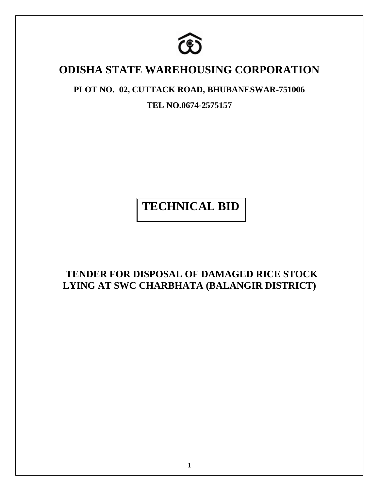

# **ODISHA STATE WAREHOUSING CORPORATION**

## **PLOT NO. 02, CUTTACK ROAD, BHUBANESWAR-751006**

**TEL NO.0674-2575157**

**TECHNICAL BID**

 **TENDER FOR DISPOSAL OF DAMAGED RICE STOCK LYING AT SWC CHARBHATA (BALANGIR DISTRICT)**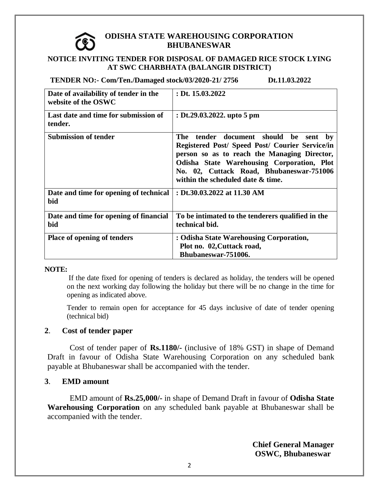#### **ODISHA STATE WAREHOUSING CORPORATION BHUBANESWAR**

#### **NOTICE INVITING TENDER FOR DISPOSAL OF DAMAGED RICE STOCK LYING AT SWC CHARBHATA (BALANGIR DISTRICT)**

 **TENDER NO:- Com/Ten./Damaged stock/03/2020-21/ 2756 Dt.11.03.2022** 

| Date of availability of tender in the<br>website of the OSWC | : Dt. $15.03.2022$                                                                                                                                                                                                                                                         |
|--------------------------------------------------------------|----------------------------------------------------------------------------------------------------------------------------------------------------------------------------------------------------------------------------------------------------------------------------|
| Last date and time for submission of<br>tender.              | : Dt.29.03.2022. upto 5 pm                                                                                                                                                                                                                                                 |
| <b>Submission of tender</b>                                  | tender document should be sent by<br>The<br>Registered Post/ Speed Post/ Courier Service/in<br>person so as to reach the Managing Director,<br>Odisha State Warehousing Corporation, Plot<br>No. 02, Cuttack Road, Bhubaneswar-751006<br>within the scheduled date & time. |
| Date and time for opening of technical<br>bid                | : Dt.30.03.2022 at 11.30 AM                                                                                                                                                                                                                                                |
| Date and time for opening of financial<br>bid                | To be intimated to the tenderers qualified in the<br>technical bid.                                                                                                                                                                                                        |
| <b>Place of opening of tenders</b>                           | : Odisha State Warehousing Corporation,<br>Plot no. 02, Cuttack road,<br>Bhubaneswar-751006.                                                                                                                                                                               |

#### **NOTE:**

If the date fixed for opening of tenders is declared as holiday, the tenders will be opened on the next working day following the holiday but there will be no change in the time for opening as indicated above.

Tender to remain open for acceptance for 45 days inclusive of date of tender opening (technical bid)

#### **2**. **Cost of tender paper**

Cost of tender paper of **Rs.1180/-** (inclusive of 18% GST) in shape of Demand Draft in favour of Odisha State Warehousing Corporation on any scheduled bank payable at Bhubaneswar shall be accompanied with the tender.

#### **3**. **EMD amount**

EMD amount of **Rs.25,000/-** in shape of Demand Draft in favour of **Odisha State Warehousing Corporation** on any scheduled bank payable at Bhubaneswar shall be accompanied with the tender.

> **Chief General Manager OSWC, Bhubaneswar**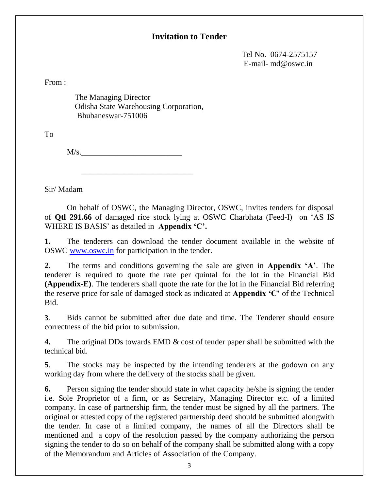## **Invitation to Tender**

 Tel No. 0674-2575157 E-mail- md@oswc.in

From :

 The Managing Director Odisha State Warehousing Corporation, Bhubaneswar-751006

To

 $M/s$ .

 $\frac{1}{\sqrt{2}}$  ,  $\frac{1}{\sqrt{2}}$  ,  $\frac{1}{\sqrt{2}}$  ,  $\frac{1}{\sqrt{2}}$  ,  $\frac{1}{\sqrt{2}}$  ,  $\frac{1}{\sqrt{2}}$  ,  $\frac{1}{\sqrt{2}}$  ,  $\frac{1}{\sqrt{2}}$  ,  $\frac{1}{\sqrt{2}}$  ,  $\frac{1}{\sqrt{2}}$  ,  $\frac{1}{\sqrt{2}}$  ,  $\frac{1}{\sqrt{2}}$  ,  $\frac{1}{\sqrt{2}}$  ,  $\frac{1}{\sqrt{2}}$  ,  $\frac{1}{\sqrt{2}}$ 

Sir/ Madam

On behalf of OSWC, the Managing Director, OSWC, invites tenders for disposal of **Qtl 291.66** of damaged rice stock lying at OSWC Charbhata (Feed-I) on 'AS IS WHERE IS BASIS' as detailed in **Appendix 'C'.**

**1.** The tenderers can download the tender document available in the website of OSWC [www.oswc.in](http://www.oswc.in/) for participation in the tender.

**2.** The terms and conditions governing the sale are given in **Appendix 'A'**. The tenderer is required to quote the rate per quintal for the lot in the Financial Bid **(Appendix-E)**. The tenderers shall quote the rate for the lot in the Financial Bid referring the reserve price for sale of damaged stock as indicated at **Appendix 'C'** of the Technical Bid.

**3**. Bids cannot be submitted after due date and time. The Tenderer should ensure correctness of the bid prior to submission.

**4.** The original DDs towards EMD & cost of tender paper shall be submitted with the technical bid.

**5**. The stocks may be inspected by the intending tenderers at the godown on any working day from where the delivery of the stocks shall be given.

**6.** Person signing the tender should state in what capacity he/she is signing the tender i.e. Sole Proprietor of a firm, or as Secretary, Managing Director etc. of a limited company. In case of partnership firm, the tender must be signed by all the partners. The original or attested copy of the registered partnership deed should be submitted alongwith the tender. In case of a limited company, the names of all the Directors shall be mentioned and a copy of the resolution passed by the company authorizing the person signing the tender to do so on behalf of the company shall be submitted along with a copy of the Memorandum and Articles of Association of the Company.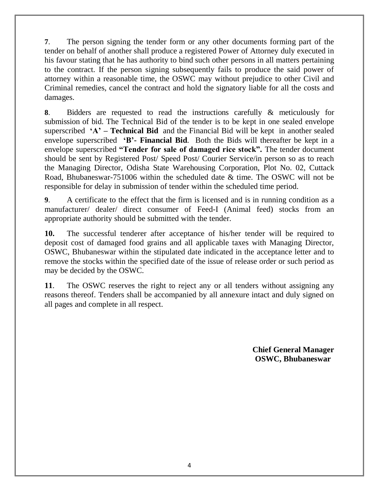**7**. The person signing the tender form or any other documents forming part of the tender on behalf of another shall produce a registered Power of Attorney duly executed in his favour stating that he has authority to bind such other persons in all matters pertaining to the contract. If the person signing subsequently fails to produce the said power of attorney within a reasonable time, the OSWC may without prejudice to other Civil and Criminal remedies, cancel the contract and hold the signatory liable for all the costs and damages.

**8**. Bidders are requested to read the instructions carefully & meticulously for submission of bid. The Technical Bid of the tender is to be kept in one sealed envelope superscribed **'A' – Technical Bid** and the Financial Bid will be kept in another sealed envelope superscribed **'B'- Financial Bid**. Both the Bids will thereafter be kept in a envelope superscribed **"Tender for sale of damaged rice stock".** The tender document should be sent by Registered Post/ Speed Post/ Courier Service/in person so as to reach the Managing Director, Odisha State Warehousing Corporation, Plot No. 02, Cuttack Road, Bhubaneswar-751006 within the scheduled date & time. The OSWC will not be responsible for delay in submission of tender within the scheduled time period.

**9**. A certificate to the effect that the firm is licensed and is in running condition as a manufacturer/ dealer/ direct consumer of Feed-I (Animal feed) stocks from an appropriate authority should be submitted with the tender.

**10.** The successful tenderer after acceptance of his/her tender will be required to deposit cost of damaged food grains and all applicable taxes with Managing Director, OSWC, Bhubaneswar within the stipulated date indicated in the acceptance letter and to remove the stocks within the specified date of the issue of release order or such period as may be decided by the OSWC.

**11**. The OSWC reserves the right to reject any or all tenders without assigning any reasons thereof. Tenders shall be accompanied by all annexure intact and duly signed on all pages and complete in all respect.

> **Chief General Manager OSWC, Bhubaneswar**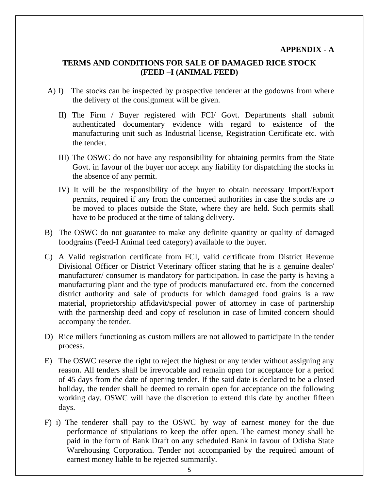#### **TERMS AND CONDITIONS FOR SALE OF DAMAGED RICE STOCK (FEED –I (ANIMAL FEED)**

- A) I) The stocks can be inspected by prospective tenderer at the godowns from where the delivery of the consignment will be given.
	- II) The Firm / Buyer registered with FCI/ Govt. Departments shall submit authenticated documentary evidence with regard to existence of the manufacturing unit such as Industrial license, Registration Certificate etc. with the tender.
	- III) The OSWC do not have any responsibility for obtaining permits from the State Govt. in favour of the buyer nor accept any liability for dispatching the stocks in the absence of any permit.
	- IV) It will be the responsibility of the buyer to obtain necessary Import/Export permits, required if any from the concerned authorities in case the stocks are to be moved to places outside the State, where they are held. Such permits shall have to be produced at the time of taking delivery.
- B) The OSWC do not guarantee to make any definite quantity or quality of damaged foodgrains (Feed-I Animal feed category) available to the buyer.
- C) A Valid registration certificate from FCI, valid certificate from District Revenue Divisional Officer or District Veterinary officer stating that he is a genuine dealer/ manufacturer/ consumer is mandatory for participation. In case the party is having a manufacturing plant and the type of products manufactured etc. from the concerned district authority and sale of products for which damaged food grains is a raw material, proprietorship affidavit/special power of attorney in case of partnership with the partnership deed and copy of resolution in case of limited concern should accompany the tender.
- D) Rice millers functioning as custom millers are not allowed to participate in the tender process.
- E) The OSWC reserve the right to reject the highest or any tender without assigning any reason. All tenders shall be irrevocable and remain open for acceptance for a period of 45 days from the date of opening tender. If the said date is declared to be a closed holiday, the tender shall be deemed to remain open for acceptance on the following working day. OSWC will have the discretion to extend this date by another fifteen days.
- F) i) The tenderer shall pay to the OSWC by way of earnest money for the due performance of stipulations to keep the offer open. The earnest money shall be paid in the form of Bank Draft on any scheduled Bank in favour of Odisha State Warehousing Corporation. Tender not accompanied by the required amount of earnest money liable to be rejected summarily.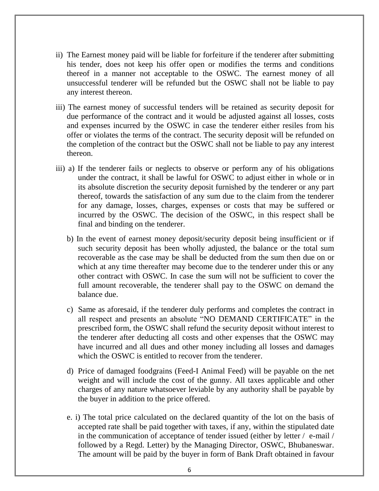- ii) The Earnest money paid will be liable for forfeiture if the tenderer after submitting his tender, does not keep his offer open or modifies the terms and conditions thereof in a manner not acceptable to the OSWC. The earnest money of all unsuccessful tenderer will be refunded but the OSWC shall not be liable to pay any interest thereon.
- iii) The earnest money of successful tenders will be retained as security deposit for due performance of the contract and it would be adjusted against all losses, costs and expenses incurred by the OSWC in case the tenderer either resiles from his offer or violates the terms of the contract. The security deposit will be refunded on the completion of the contract but the OSWC shall not be liable to pay any interest thereon.
- iii) a) If the tenderer fails or neglects to observe or perform any of his obligations under the contract, it shall be lawful for OSWC to adjust either in whole or in its absolute discretion the security deposit furnished by the tenderer or any part thereof, towards the satisfaction of any sum due to the claim from the tenderer for any damage, losses, charges, expenses or costs that may be suffered or incurred by the OSWC. The decision of the OSWC, in this respect shall be final and binding on the tenderer.
	- b) In the event of earnest money deposit/security deposit being insufficient or if such security deposit has been wholly adjusted, the balance or the total sum recoverable as the case may be shall be deducted from the sum then due on or which at any time thereafter may become due to the tenderer under this or any other contract with OSWC. In case the sum will not be sufficient to cover the full amount recoverable, the tenderer shall pay to the OSWC on demand the balance due.
	- c) Same as aforesaid, if the tenderer duly performs and completes the contract in all respect and presents an absolute "NO DEMAND CERTIFICATE" in the prescribed form, the OSWC shall refund the security deposit without interest to the tenderer after deducting all costs and other expenses that the OSWC may have incurred and all dues and other money including all losses and damages which the OSWC is entitled to recover from the tenderer.
	- d) Price of damaged foodgrains (Feed-I Animal Feed) will be payable on the net weight and will include the cost of the gunny. All taxes applicable and other charges of any nature whatsoever leviable by any authority shall be payable by the buyer in addition to the price offered.
	- e. i) The total price calculated on the declared quantity of the lot on the basis of accepted rate shall be paid together with taxes, if any, within the stipulated date in the communication of acceptance of tender issued (either by letter / e-mail / followed by a Regd. Letter) by the Managing Director, OSWC, Bhubaneswar. The amount will be paid by the buyer in form of Bank Draft obtained in favour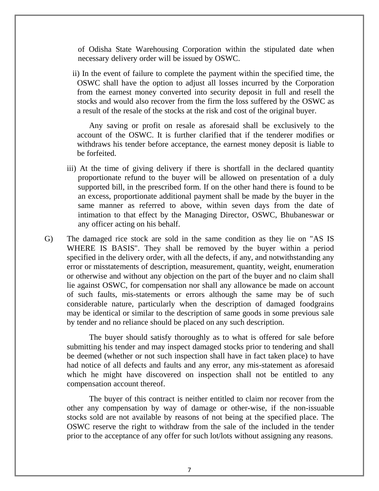of Odisha State Warehousing Corporation within the stipulated date when necessary delivery order will be issued by OSWC.

ii) In the event of failure to complete the payment within the specified time, the OSWC shall have the option to adjust all losses incurred by the Corporation from the earnest money converted into security deposit in full and resell the stocks and would also recover from the firm the loss suffered by the OSWC as a result of the resale of the stocks at the risk and cost of the original buyer.

Any saving or profit on resale as aforesaid shall be exclusively to the account of the OSWC. It is further clarified that if the tenderer modifies or withdraws his tender before acceptance, the earnest money deposit is liable to be forfeited.

- iii) At the time of giving delivery if there is shortfall in the declared quantity proportionate refund to the buyer will be allowed on presentation of a duly supported bill, in the prescribed form. If on the other hand there is found to be an excess, proportionate additional payment shall be made by the buyer in the same manner as referred to above, within seven days from the date of intimation to that effect by the Managing Director, OSWC, Bhubaneswar or any officer acting on his behalf.
- G) The damaged rice stock are sold in the same condition as they lie on "AS IS WHERE IS BASIS". They shall be removed by the buyer within a period specified in the delivery order, with all the defects, if any, and notwithstanding any error or misstatements of description, measurement, quantity, weight, enumeration or otherwise and without any objection on the part of the buyer and no claim shall lie against OSWC, for compensation nor shall any allowance be made on account of such faults, mis-statements or errors although the same may be of such considerable nature, particularly when the description of damaged foodgrains may be identical or similar to the description of same goods in some previous sale by tender and no reliance should be placed on any such description.

The buyer should satisfy thoroughly as to what is offered for sale before submitting his tender and may inspect damaged stocks prior to tendering and shall be deemed (whether or not such inspection shall have in fact taken place) to have had notice of all defects and faults and any error, any mis-statement as aforesaid which he might have discovered on inspection shall not be entitled to any compensation account thereof.

The buyer of this contract is neither entitled to claim nor recover from the other any compensation by way of damage or other-wise, if the non-issuable stocks sold are not available by reasons of not being at the specified place. The OSWC reserve the right to withdraw from the sale of the included in the tender prior to the acceptance of any offer for such lot/lots without assigning any reasons.

7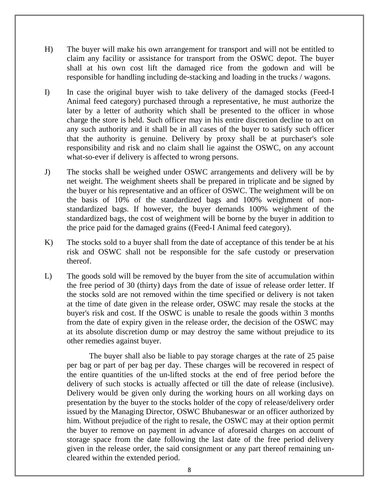- H) The buyer will make his own arrangement for transport and will not be entitled to claim any facility or assistance for transport from the OSWC depot. The buyer shall at his own cost lift the damaged rice from the godown and will be responsible for handling including de-stacking and loading in the trucks / wagons.
- I) In case the original buyer wish to take delivery of the damaged stocks (Feed-I Animal feed category) purchased through a representative, he must authorize the later by a letter of authority which shall be presented to the officer in whose charge the store is held. Such officer may in his entire discretion decline to act on any such authority and it shall be in all cases of the buyer to satisfy such officer that the authority is genuine. Delivery by proxy shall be at purchaser's sole responsibility and risk and no claim shall lie against the OSWC, on any account what-so-ever if delivery is affected to wrong persons.
- J) The stocks shall be weighed under OSWC arrangements and delivery will be by net weight. The weighment sheets shall be prepared in triplicate and be signed by the buyer or his representative and an officer of OSWC. The weighment will be on the basis of 10% of the standardized bags and 100% weighment of nonstandardized bags. If however, the buyer demands 100% weighment of the standardized bags, the cost of weighment will be borne by the buyer in addition to the price paid for the damaged grains ((Feed-I Animal feed category).
- K) The stocks sold to a buyer shall from the date of acceptance of this tender be at his risk and OSWC shall not be responsible for the safe custody or preservation thereof.
- L) The goods sold will be removed by the buyer from the site of accumulation within the free period of 30 (thirty) days from the date of issue of release order letter. If the stocks sold are not removed within the time specified or delivery is not taken at the time of date given in the release order, OSWC may resale the stocks at the buyer's risk and cost. If the OSWC is unable to resale the goods within 3 months from the date of expiry given in the release order, the decision of the OSWC may at its absolute discretion dump or may destroy the same without prejudice to its other remedies against buyer.

The buyer shall also be liable to pay storage charges at the rate of 25 paise per bag or part of per bag per day. These charges will be recovered in respect of the entire quantities of the un-lifted stocks at the end of free period before the delivery of such stocks is actually affected or till the date of release (inclusive). Delivery would be given only during the working hours on all working days on presentation by the buyer to the stocks holder of the copy of release/delivery order issued by the Managing Director, OSWC Bhubaneswar or an officer authorized by him. Without prejudice of the right to resale, the OSWC may at their option permit the buyer to remove on payment in advance of aforesaid charges on account of storage space from the date following the last date of the free period delivery given in the release order, the said consignment or any part thereof remaining uncleared within the extended period.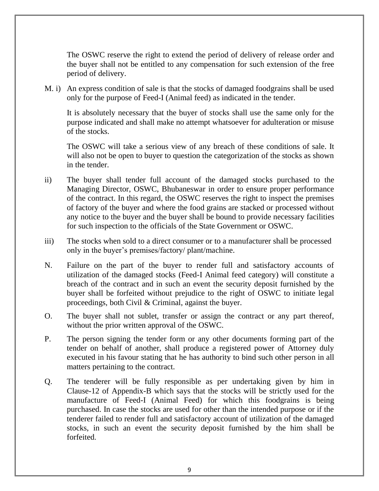The OSWC reserve the right to extend the period of delivery of release order and the buyer shall not be entitled to any compensation for such extension of the free period of delivery.

M. i) An express condition of sale is that the stocks of damaged foodgrains shall be used only for the purpose of Feed-I (Animal feed) as indicated in the tender.

It is absolutely necessary that the buyer of stocks shall use the same only for the purpose indicated and shall make no attempt whatsoever for adulteration or misuse of the stocks.

The OSWC will take a serious view of any breach of these conditions of sale. It will also not be open to buyer to question the categorization of the stocks as shown in the tender.

- ii) The buyer shall tender full account of the damaged stocks purchased to the Managing Director, OSWC, Bhubaneswar in order to ensure proper performance of the contract. In this regard, the OSWC reserves the right to inspect the premises of factory of the buyer and where the food grains are stacked or processed without any notice to the buyer and the buyer shall be bound to provide necessary facilities for such inspection to the officials of the State Government or OSWC.
- iii) The stocks when sold to a direct consumer or to a manufacturer shall be processed only in the buyer's premises/factory/ plant/machine.
- N. Failure on the part of the buyer to render full and satisfactory accounts of utilization of the damaged stocks (Feed-I Animal feed category) will constitute a breach of the contract and in such an event the security deposit furnished by the buyer shall be forfeited without prejudice to the right of OSWC to initiate legal proceedings, both Civil & Criminal, against the buyer.
- O. The buyer shall not sublet, transfer or assign the contract or any part thereof, without the prior written approval of the OSWC.
- P. The person signing the tender form or any other documents forming part of the tender on behalf of another, shall produce a registered power of Attorney duly executed in his favour stating that he has authority to bind such other person in all matters pertaining to the contract.
- Q. The tenderer will be fully responsible as per undertaking given by him in Clause-12 of Appendix-B which says that the stocks will be strictly used for the manufacture of Feed-I (Animal Feed) for which this foodgrains is being purchased. In case the stocks are used for other than the intended purpose or if the tenderer failed to render full and satisfactory account of utilization of the damaged stocks, in such an event the security deposit furnished by the him shall be forfeited.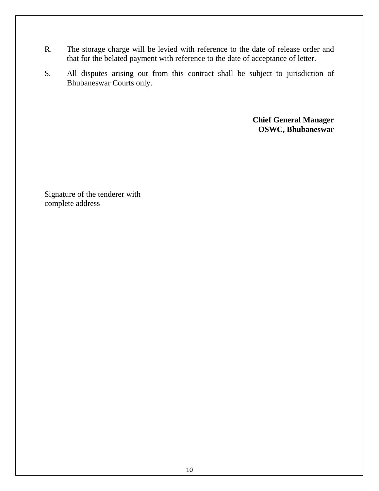- R. The storage charge will be levied with reference to the date of release order and that for the belated payment with reference to the date of acceptance of letter.
- S. All disputes arising out from this contract shall be subject to jurisdiction of Bhubaneswar Courts only.

 **Chief General Manager OSWC, Bhubaneswar**

Signature of the tenderer with complete address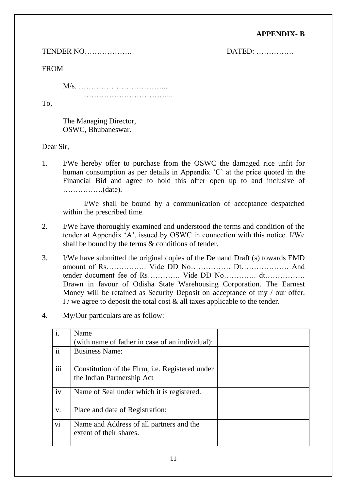### **APPENDIX- B**

TENDER NO………………. DATED: ……………

FROM

M/s. ……………………………...

……………………………...

To,

The Managing Director, OSWC, Bhubaneswar.

Dear Sir,

1. I/We hereby offer to purchase from the OSWC the damaged rice unfit for human consumption as per details in Appendix 'C' at the price quoted in the Financial Bid and agree to hold this offer open up to and inclusive of …………….(date).

I/We shall be bound by a communication of acceptance despatched within the prescribed time.

- 2. I/We have thoroughly examined and understood the terms and condition of the tender at Appendix 'A', issued by OSWC in connection with this notice. I/We shall be bound by the terms & conditions of tender.
- 3. I/We have submitted the original copies of the Demand Draft (s) towards EMD amount of Rs……………. Vide DD No……………. Dt………………. And tender document fee of Rs…………. Vide DD No…………. dt…………… Drawn in favour of Odisha State Warehousing Corporation. The Earnest Money will be retained as Security Deposit on acceptance of my / our offer. I / we agree to deposit the total cost  $\&$  all taxes applicable to the tender.
- 4. My/Our particulars are as follow:

| i.            | Name                                                                |  |
|---------------|---------------------------------------------------------------------|--|
|               | (with name of father in case of an individual):                     |  |
| $\mathbf{ii}$ | <b>Business Name:</b>                                               |  |
|               |                                                                     |  |
| iii           | Constitution of the Firm, <i>i.e.</i> Registered under              |  |
|               | the Indian Partnership Act                                          |  |
| iv            | Name of Seal under which it is registered.                          |  |
| V.            | Place and date of Registration:                                     |  |
| vi            | Name and Address of all partners and the<br>extent of their shares. |  |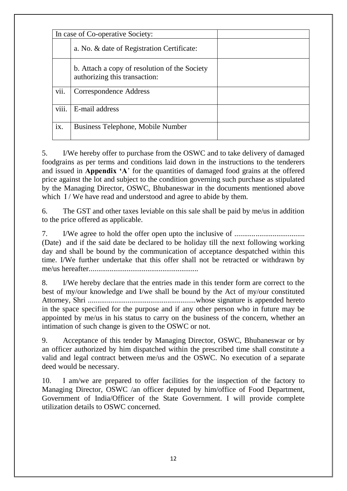|       | In case of Co-operative Society:                                               |  |
|-------|--------------------------------------------------------------------------------|--|
|       | a. No. & date of Registration Certificate:                                     |  |
|       | b. Attach a copy of resolution of the Society<br>authorizing this transaction: |  |
| vii.  | Correspondence Address                                                         |  |
| viii. | E-mail address                                                                 |  |
| ix.   | Business Telephone, Mobile Number                                              |  |

5. I/We hereby offer to purchase from the OSWC and to take delivery of damaged foodgrains as per terms and conditions laid down in the instructions to the tenderers and issued in **Appendix 'A**' for the quantities of damaged food grains at the offered price against the lot and subject to the condition governing such purchase as stipulated by the Managing Director, OSWC, Bhubaneswar in the documents mentioned above which I / We have read and understood and agree to abide by them.

6. The GST and other taxes leviable on this sale shall be paid by me/us in addition to the price offered as applicable.

7. I/We agree to hold the offer open upto the inclusive of ..................................... (Date) and if the said date be declared to be holiday till the next following working

day and shall be bound by the communication of acceptance despatched within this time. I/We further undertake that this offer shall not be retracted or withdrawn by me/us hereafter..........................................................

8. I/We hereby declare that the entries made in this tender form are correct to the best of my/our knowledge and I/we shall be bound by the Act of my/our constituted Attorney, Shri .........................................................whose signature is appended hereto in the space specified for the purpose and if any other person who in future may be appointed by me/us in his status to carry on the business of the concern, whether an intimation of such change is given to the OSWC or not.

9. Acceptance of this tender by Managing Director, OSWC, Bhubaneswar or by an officer authorized by him dispatched within the prescribed time shall constitute a valid and legal contract between me/us and the OSWC. No execution of a separate deed would be necessary.

10. I am/we are prepared to offer facilities for the inspection of the factory to Managing Director, OSWC /an officer deputed by him/office of Food Department, Government of India/Officer of the State Government. I will provide complete utilization details to OSWC concerned.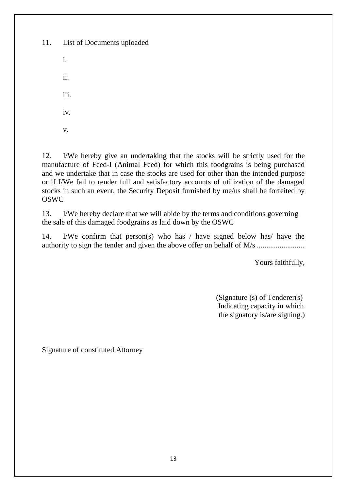11. List of Documents uploaded i. ii. iii. iv. v.

12. I/We hereby give an undertaking that the stocks will be strictly used for the manufacture of Feed-I (Animal Feed) for which this foodgrains is being purchased and we undertake that in case the stocks are used for other than the intended purpose or if I/We fail to render full and satisfactory accounts of utilization of the damaged stocks in such an event, the Security Deposit furnished by me/us shall be forfeited by OSWC

13. I/We hereby declare that we will abide by the terms and conditions governing the sale of this damaged foodgrains as laid down by the OSWC

14. I/We confirm that person(s) who has / have signed below has/ have the authority to sign the tender and given the above offer on behalf of M/s ............................

Yours faithfully,

 (Signature (s) of Tenderer(s) Indicating capacity in which the signatory is/are signing.)

Signature of constituted Attorney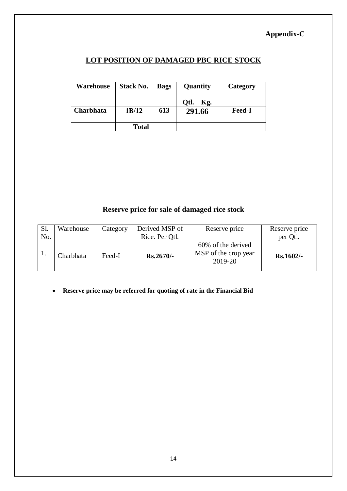## **Appendix-C**

### **LOT POSITION OF DAMAGED PBC RICE STOCK**

| <b>Warehouse</b> | <b>Stack No.</b> | <b>Bags</b> | Quantity    | Category      |
|------------------|------------------|-------------|-------------|---------------|
|                  |                  |             | Otl.<br>Kg. |               |
| <b>Charbhata</b> | 1B/12            | 613         | 291.66      | <b>Feed-I</b> |
|                  | Total            |             |             |               |

## **Reserve price for sale of damaged rice stock**

| Sl. | Warehouse | Category | Derived MSP of | Reserve price                                         | Reserve price |
|-----|-----------|----------|----------------|-------------------------------------------------------|---------------|
| No. |           |          | Rice. Per Qtl. |                                                       | per Qtl.      |
|     | Charbhata | Feed-I   | $Rs.2670/-$    | 60% of the derived<br>MSP of the crop year<br>2019-20 | $Rs.1602/-$   |

**Reserve price may be referred for quoting of rate in the Financial Bid**